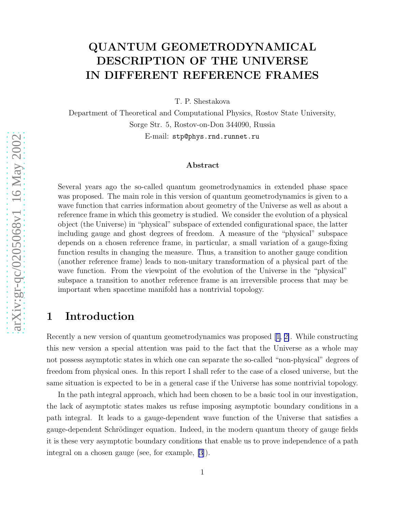# QUANTUM GEOMETRODYNAMICAL DESCRIPTION OF THE UNIVERSE IN DIFFERENT REFERENCE FRAMES

T. P. Shestakova

Department of Theoretical and Computational Physics, Rostov State University, Sorge Str. 5, Rostov-on-Don 344090, Russia E-mail: stp@phys.rnd.runnet.ru

#### Abstract

Several years ago the so-called quantum geometrodynamics in extended phase space was proposed. The main role in this version of quantum geometrodynamics is given to a wave function that carries information about geometry of the Universe as well as about a reference frame in which this geometry is studied. We consider the evolution of a physical object (the Universe) in "physical" subspace of extended configurational space, the latter including gauge and ghost degrees of freedom. A measure of the "physical" subspace depends on a chosen reference frame, in particular, a small variation of a gauge-fixing function results in changing the measure. Thus, a transition to another gauge condition (another reference frame) leads to non-unitary transformation of a physical part of the wave function. From the viewpoint of the evolution of the Universe in the "physical" subspace a transition to another reference frame is an irreversible process that may be important when spacetime manifold has a nontrivial topology.

#### 1 Introduction

Recently a new version of quantum geometrodynamics was proposed [\[1, 2\]](#page-5-0). While constructing this new version a special attention was paid to the fact that the Universe as a whole may not possess asymptotic states in which one can separate the so-called "non-physical" degrees of freedom from physical ones. In this report I shall refer to the case of a closed universe, but the same situation is expected to be in a general case if the Universe has some nontrivial topology.

In the path integral approach, which had been chosen to be a basic tool in our investigation, the lack of asymptotic states makes us refuse imposing asymptotic boundary conditions in a path integral. It leads to a gauge-dependent wave function of the Universe that satisfies a gauge-dependent Schrödinger equation. Indeed, in the modern quantum theory of gauge fields it is these very asymptotic boundary conditions that enable us to prove independence of a path integral on a chosen gauge (see, for example, [\[3](#page-5-0)]).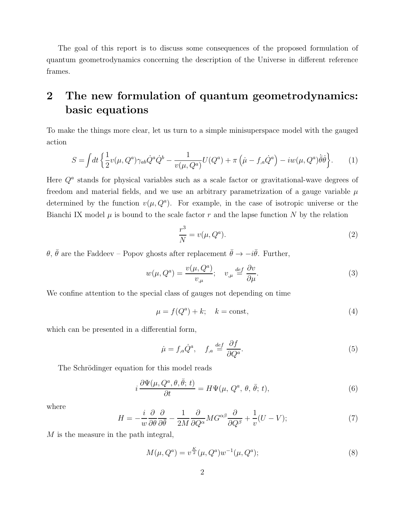<span id="page-1-0"></span>The goal of this report is to discuss some consequences of the proposed formulation of quantum geometrodynamics concerning the description of the Universe in different reference frames.

### 2 The new formulation of quantum geometrodynamics: basic equations

To make the things more clear, let us turn to a simple minisuperspace model with the gauged action

$$
S = \int dt \left\{ \frac{1}{2} v(\mu, Q^a) \gamma_{ab} \dot{Q}^a \dot{Q}^b - \frac{1}{v(\mu, Q^a)} U(Q^a) + \pi \left( \dot{\mu} - f_{,a} \dot{Q}^a \right) - i w(\mu, Q^a) \dot{\bar{\theta}} \dot{\bar{\theta}} \right\}.
$$
 (1)

Here  $Q<sup>a</sup>$  stands for physical variables such as a scale factor or gravitational-wave degrees of freedom and material fields, and we use an arbitrary parametrization of a gauge variable  $\mu$ determined by the function  $v(\mu, Q^a)$ . For example, in the case of isotropic universe or the Bianchi IX model  $\mu$  is bound to the scale factor  $r$  and the lapse function  $N$  by the relation

$$
\frac{r^3}{N} = v(\mu, Q^a). \tag{2}
$$

 $\theta$ ,  $\bar{\theta}$  are the Faddeev – Popov ghosts after replacement  $\bar{\theta} \to -i\bar{\theta}$ . Further,

$$
w(\mu, Q^a) = \frac{v(\mu, Q^a)}{v_{,\mu}}; \quad v_{,\mu} \stackrel{\text{def}}{=} \frac{\partial v}{\partial \mu}.
$$
 (3)

We confine attention to the special class of gauges not depending on time

$$
\mu = f(Q^a) + k; \quad k = \text{const},\tag{4}
$$

which can be presented in a differential form,

$$
\dot{\mu} = f_{,a}\dot{Q}^a, \quad f_{,a} \stackrel{def}{=} \frac{\partial f}{\partial Q^a}.\tag{5}
$$

The Schrödinger equation for this model reads

$$
i\frac{\partial\Psi(\mu, Q^a, \theta, \bar{\theta}; t)}{\partial t} = H\Psi(\mu, Q^a, \theta, \bar{\theta}; t),\tag{6}
$$

where

$$
H = -\frac{i}{w}\frac{\partial}{\partial\theta}\frac{\partial}{\partial\bar{\theta}} - \frac{1}{2M}\frac{\partial}{\partial Q^{\alpha}}MG^{\alpha\beta}\frac{\partial}{\partial Q^{\beta}} + \frac{1}{v}(U - V); \tag{7}
$$

M is the measure in the path integral,

$$
M(\mu, Q^a) = v^{\frac{K}{2}}(\mu, Q^a)w^{-1}(\mu, Q^a); \tag{8}
$$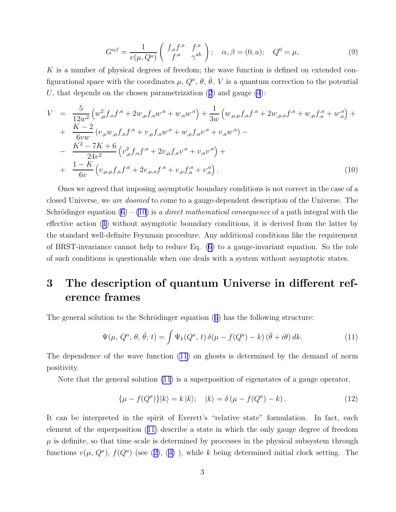$$
G^{\alpha\beta} = \frac{1}{v(\mu, Q^a)} \begin{pmatrix} f_{,a}f^{,a} & f^{,a} \\ f^{,a} & \gamma^{ab} \end{pmatrix}; \quad \alpha, \beta = (0, a); \quad Q^0 = \mu,
$$
 (9)

K is a number of physical degrees of freedom; the wave function is defined on extended configurational space with the coordinates  $\mu$ ,  $Q^a$ ,  $\theta$ ,  $\bar{\theta}$ . V is a quantum correction to the potential U,that depends on the chosen parametrization  $(2)$  $(2)$  $(2)$  and gauge  $(4)$ :

$$
V = \frac{5}{12w^2} \left( w_{,\mu}^2 f_{,a} f^{,a} + 2w_{,\mu} f_{,a} w^{,a} + w_{,a} w^{,a} \right) + \frac{1}{3w} \left( w_{,\mu,\mu} f_{,a} f^{,a} + 2w_{,\mu,a} f^{,a} + w_{,\mu} f_{,a}^a + w_{,a}^a \right) + + \frac{K-2}{6vw} \left( v_{,\mu} w_{,\mu} f_{,a} f^{,a} + v_{,\mu} f_{,a} w^{,a} + w_{,\mu} f_{,a} v^{,a} + v_{,a} w^{,a} \right) - - \frac{K^2 - 7K + 6}{24v^2} \left( v_{,\mu}^2 f_{,a} f^{,a} + 2v_{,\mu} f_{,a} v^{,a} + v_{,a} v^{,a} \right) + + \frac{1-K}{6v} \left( v_{,\mu,\mu} f_{,a} f^{,a} + 2v_{,\mu,a} f^{,a} + v_{,\mu} f_{,a}^a + v_{,a}^a \right).
$$
(10)

Ones we agreed that imposing asymptotic boundary conditions is not correct in the case of a closed Universe, we are doomed to come to a gauge-dependent description of the Universe. The Schrödinger equation  $(6) - (10)$  is a direct mathematical consequence of a path integral with the effective action([1](#page-1-0)) without asymptotic boundary conditions, it is derived from the latter by the standard well-definite Feynman procedure. Any additional conditions like the requirement of BRST-invariance cannot help to reduce Eq. [\(6\)](#page-1-0) to a gauge-invariant equation. So the role of such conditions is questionable when one deals with a system without asymptotic states.

## 3 The description of quantum Universe in different reference frames

Thegeneral solution to the Schrödinger equation ([6](#page-1-0)) has the following structure:

$$
\Psi(\mu, Q^a, \theta, \bar{\theta}; t) = \int \Psi_k(Q^a, t) \,\delta(\mu - f(Q^a) - k) \left(\bar{\theta} + i\theta\right) dk. \tag{11}
$$

The dependence of the wave function (11) on ghosts is determined by the demand of norm positivity.

Note that the general solution (11) is a superposition of eigenstates of a gauge operator,

$$
\{\mu - f(Q^a)\}|k\rangle = k|k\rangle; \quad |k\rangle = \delta(\mu - f(Q^a) - k). \tag{12}
$$

It can be interpreted in the spirit of Everett's "relative state" formulation. In fact, each element of the superposition (11) describe a state in which the only gauge degree of freedom  $\mu$  is definite, so that time scale is determined by processes in the physical subsystem through functions $v(\mu, Q^a)$ ,  $f(Q^a)$  (see ([2\)](#page-1-0), ([4\)](#page-1-0)), while k being determined initial clock setting. The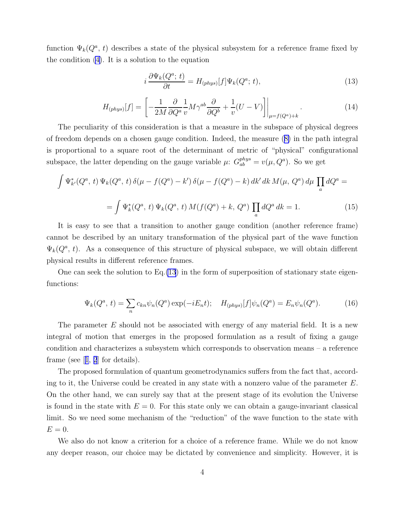<span id="page-3-0"></span>function  $\Psi_k(Q^a, t)$  describes a state of the physical subsystem for a reference frame fixed by the condition [\(4\)](#page-1-0). It is a solution to the equation

$$
i\frac{\partial \Psi_k(Q^a; t)}{\partial t} = H_{(phys)}[f]\Psi_k(Q^a; t),\tag{13}
$$

$$
H_{(phys)}[f] = \left[ -\frac{1}{2M} \frac{\partial}{\partial Q^a} \frac{1}{v} M \gamma^{ab} \frac{\partial}{\partial Q^b} + \frac{1}{v} (U - V) \right] \Big|_{\mu = f(Q^a) + k} . \tag{14}
$$

The peculiarity of this consideration is that a measure in the subspace of physical degrees of freedom depends on a chosen gauge condition. Indeed, the measure([8\)](#page-1-0) in the path integral is proportional to a square root of the determinant of metric of "physical" configurational subspace, the latter depending on the gauge variable  $\mu$ :  $G_{ab}^{phys} = v(\mu, Q^a)$ . So we get

$$
\int \Psi_{k'}^{*}(Q^{a}, t) \Psi_{k}(Q^{a}, t) \delta(\mu - f(Q^{a}) - k') \delta(\mu - f(Q^{a}) - k) dk' dk M(\mu, Q^{a}) d\mu \prod_{a} dQ^{a} =
$$

$$
= \int \Psi_{k}^{*}(Q^{a}, t) \Psi_{k}(Q^{a}, t) M(f(Q^{a}) + k, Q^{a}) \prod_{a} dQ^{a} dk = 1.
$$
 (15)

It is easy to see that a transition to another gauge condition (another reference frame) cannot be described by an unitary transformation of the physical part of the wave function  $\Psi_k(Q^a, t)$ . As a consequence of this structure of physical subspace, we will obtain different physical results in different reference frames.

One can seek the solution to  $Eq.(13)$  in the form of superposition of stationary state eigenfunctions:

$$
\Psi_k(Q^a, t) = \sum_n c_{kn} \psi_n(Q^a) \exp(-iE_n t); \quad H_{(phys)}[f] \psi_n(Q^a) = E_n \psi_n(Q^a). \tag{16}
$$

The parameter  $E$  should not be associated with energy of any material field. It is a new integral of motion that emerges in the proposed formulation as a result of fixing a gauge condition and characterizes a subsystem which corresponds to observation means – a reference frame (see[[1](#page-5-0), [2](#page-5-0)] for details).

The proposed formulation of quantum geometrodynamics suffers from the fact that, according to it, the Universe could be created in any state with a nonzero value of the parameter  $E$ . On the other hand, we can surely say that at the present stage of its evolution the Universe is found in the state with  $E = 0$ . For this state only we can obtain a gauge-invariant classical limit. So we need some mechanism of the "reduction" of the wave function to the state with  $E=0.$ 

We also do not know a criterion for a choice of a reference frame. While we do not know any deeper reason, our choice may be dictated by convenience and simplicity. However, it is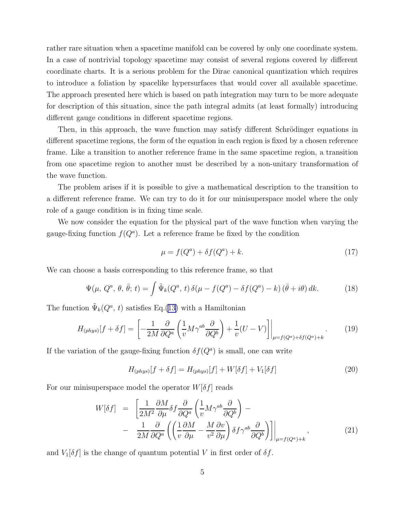<span id="page-4-0"></span>rather rare situation when a spacetime manifold can be covered by only one coordinate system. In a case of nontrivial topology spacetime may consist of several regions covered by different coordinate charts. It is a serious problem for the Dirac canonical quantization which requires to introduce a foliation by spacelike hypersurfaces that would cover all available spacetime. The approach presented here which is based on path integration may turn to be more adequate for description of this situation, since the path integral admits (at least formally) introducing different gauge conditions in different spacetime regions.

Then, in this approach, the wave function may satisfy different Schrödinger equations in different spacetime regions, the form of the equation in each region is fixed by a chosen reference frame. Like a transition to another reference frame in the same spacetime region, a transition from one spacetime region to another must be described by a non-unitary transformation of the wave function.

The problem arises if it is possible to give a mathematical description to the transition to a different reference frame. We can try to do it for our minisuperspace model where the only role of a gauge condition is in fixing time scale.

We now consider the equation for the physical part of the wave function when varying the gauge-fixing function  $f(Q^a)$ . Let a reference frame be fixed by the condition

$$
\mu = f(Q^a) + \delta f(Q^a) + k. \tag{17}
$$

We can choose a basis corresponding to this reference frame, so that

$$
\Psi(\mu, Q^a, \theta, \bar{\theta}; t) = \int \tilde{\Psi}_k(Q^a, t) \,\delta(\mu - f(Q^a) - \delta f(Q^a) - k) \left(\bar{\theta} + i\theta\right) dk. \tag{18}
$$

The function  $\tilde{\Psi}_k(Q^a, t)$  satisfies Eq.([13\)](#page-3-0) with a Hamiltonian

$$
H_{(phys)}[f + \delta f] = \left[ -\frac{1}{2M} \frac{\partial}{\partial Q^a} \left( \frac{1}{v} M \gamma^{ab} \frac{\partial}{\partial Q^b} \right) + \frac{1}{v} (U - V) \right] \Big|_{\mu = f(Q^a) + \delta f(Q^a) + k} . \tag{19}
$$

If the variation of the gauge-fixing function  $\delta f(Q^a)$  is small, one can write

$$
H_{(phys)}[f + \delta f] = H_{(phys)}[f] + W[\delta f] + V_1[\delta f]
$$
\n(20)

For our minisuperspace model the operator  $W[\delta f]$  reads

$$
W[\delta f] = \left[ \frac{1}{2M^2} \frac{\partial M}{\partial \mu} \delta f \frac{\partial}{\partial Q^a} \left( \frac{1}{v} M \gamma^{ab} \frac{\partial}{\partial Q^b} \right) - \right. \\ - \left. \frac{1}{2M} \frac{\partial}{\partial Q^a} \left( \left( \frac{1}{v} \frac{\partial M}{\partial \mu} - \frac{M}{v^2} \frac{\partial v}{\partial \mu} \right) \delta f \gamma^{ab} \frac{\partial}{\partial Q^b} \right) \right] \Big|_{\mu = f(Q^a) + k}, \tag{21}
$$

and  $V_1[\delta f]$  is the change of quantum potential V in first order of  $\delta f$ .